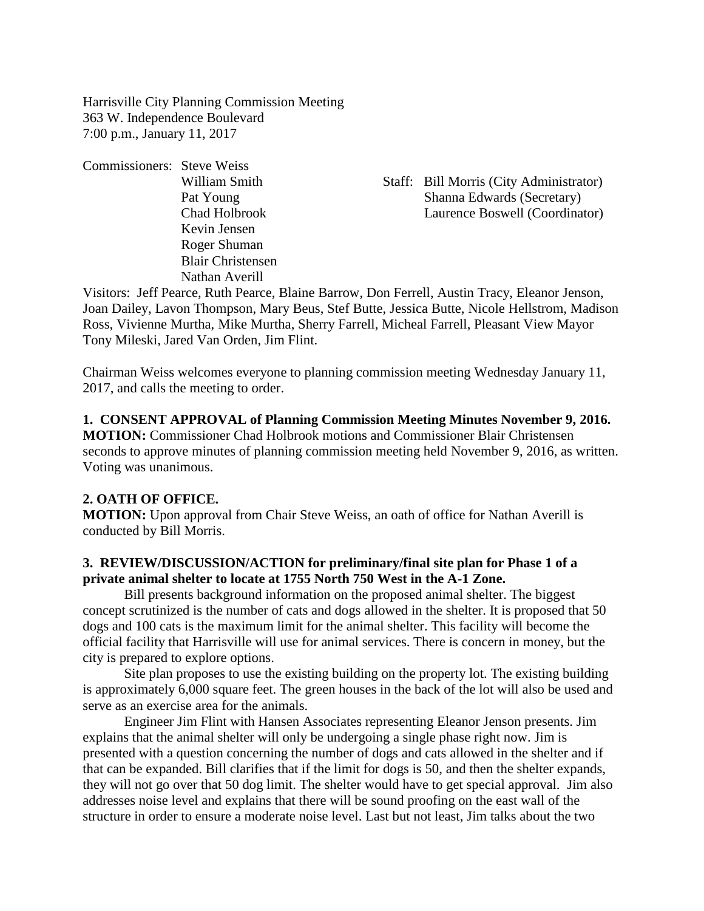Harrisville City Planning Commission Meeting 363 W. Independence Boulevard 7:00 p.m., January 11, 2017

Commissioners: Steve Weiss Kevin Jensen Roger Shuman Blair Christensen Nathan Averill

William Smith Staff: Bill Morris (City Administrator) Pat Young Shanna Edwards (Secretary) Chad Holbrook Laurence Boswell (Coordinator)

Visitors: Jeff Pearce, Ruth Pearce, Blaine Barrow, Don Ferrell, Austin Tracy, Eleanor Jenson, Joan Dailey, Lavon Thompson, Mary Beus, Stef Butte, Jessica Butte, Nicole Hellstrom, Madison Ross, Vivienne Murtha, Mike Murtha, Sherry Farrell, Micheal Farrell, Pleasant View Mayor Tony Mileski, Jared Van Orden, Jim Flint.

Chairman Weiss welcomes everyone to planning commission meeting Wednesday January 11, 2017, and calls the meeting to order.

## **1. CONSENT APPROVAL of Planning Commission Meeting Minutes November 9, 2016.**

**MOTION:** Commissioner Chad Holbrook motions and Commissioner Blair Christensen seconds to approve minutes of planning commission meeting held November 9, 2016, as written. Voting was unanimous.

## **2. OATH OF OFFICE.**

**MOTION:** Upon approval from Chair Steve Weiss, an oath of office for Nathan Averill is conducted by Bill Morris.

## **3. REVIEW/DISCUSSION/ACTION for preliminary/final site plan for Phase 1 of a private animal shelter to locate at 1755 North 750 West in the A-1 Zone.**

Bill presents background information on the proposed animal shelter. The biggest concept scrutinized is the number of cats and dogs allowed in the shelter. It is proposed that 50 dogs and 100 cats is the maximum limit for the animal shelter. This facility will become the official facility that Harrisville will use for animal services. There is concern in money, but the city is prepared to explore options.

Site plan proposes to use the existing building on the property lot. The existing building is approximately 6,000 square feet. The green houses in the back of the lot will also be used and serve as an exercise area for the animals.

Engineer Jim Flint with Hansen Associates representing Eleanor Jenson presents. Jim explains that the animal shelter will only be undergoing a single phase right now. Jim is presented with a question concerning the number of dogs and cats allowed in the shelter and if that can be expanded. Bill clarifies that if the limit for dogs is 50, and then the shelter expands, they will not go over that 50 dog limit. The shelter would have to get special approval. Jim also addresses noise level and explains that there will be sound proofing on the east wall of the structure in order to ensure a moderate noise level. Last but not least, Jim talks about the two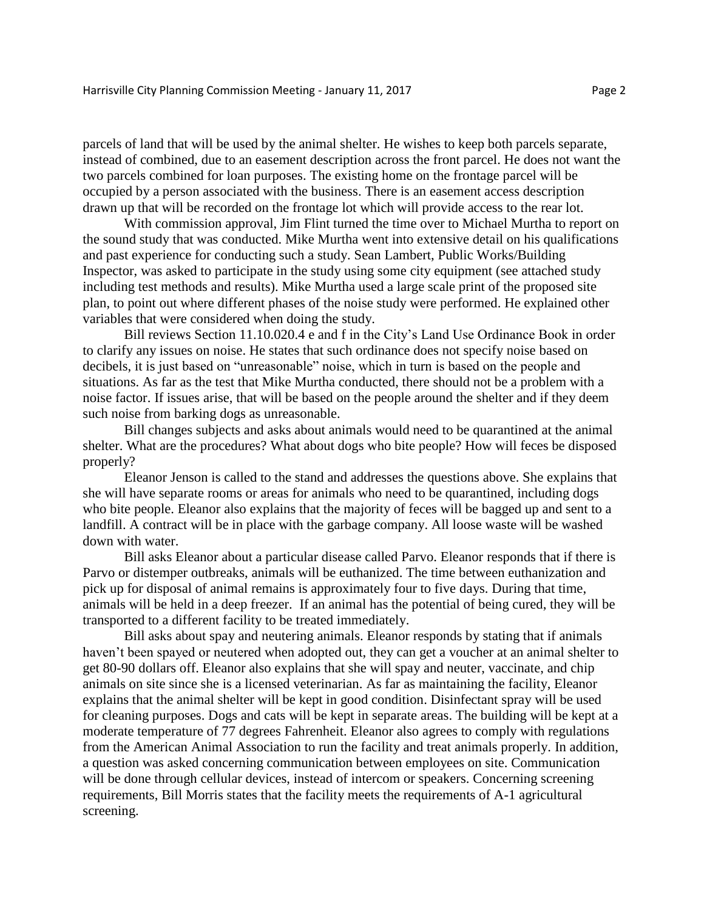parcels of land that will be used by the animal shelter. He wishes to keep both parcels separate, instead of combined, due to an easement description across the front parcel. He does not want the two parcels combined for loan purposes. The existing home on the frontage parcel will be occupied by a person associated with the business. There is an easement access description drawn up that will be recorded on the frontage lot which will provide access to the rear lot.

With commission approval, Jim Flint turned the time over to Michael Murtha to report on the sound study that was conducted. Mike Murtha went into extensive detail on his qualifications and past experience for conducting such a study. Sean Lambert, Public Works/Building Inspector, was asked to participate in the study using some city equipment (see attached study including test methods and results). Mike Murtha used a large scale print of the proposed site plan, to point out where different phases of the noise study were performed. He explained other variables that were considered when doing the study.

Bill reviews Section 11.10.020.4 e and f in the City's Land Use Ordinance Book in order to clarify any issues on noise. He states that such ordinance does not specify noise based on decibels, it is just based on "unreasonable" noise, which in turn is based on the people and situations. As far as the test that Mike Murtha conducted, there should not be a problem with a noise factor. If issues arise, that will be based on the people around the shelter and if they deem such noise from barking dogs as unreasonable.

Bill changes subjects and asks about animals would need to be quarantined at the animal shelter. What are the procedures? What about dogs who bite people? How will feces be disposed properly?

Eleanor Jenson is called to the stand and addresses the questions above. She explains that she will have separate rooms or areas for animals who need to be quarantined, including dogs who bite people. Eleanor also explains that the majority of feces will be bagged up and sent to a landfill. A contract will be in place with the garbage company. All loose waste will be washed down with water.

Bill asks Eleanor about a particular disease called Parvo. Eleanor responds that if there is Parvo or distemper outbreaks, animals will be euthanized. The time between euthanization and pick up for disposal of animal remains is approximately four to five days. During that time, animals will be held in a deep freezer. If an animal has the potential of being cured, they will be transported to a different facility to be treated immediately.

Bill asks about spay and neutering animals. Eleanor responds by stating that if animals haven't been spayed or neutered when adopted out, they can get a voucher at an animal shelter to get 80-90 dollars off. Eleanor also explains that she will spay and neuter, vaccinate, and chip animals on site since she is a licensed veterinarian. As far as maintaining the facility, Eleanor explains that the animal shelter will be kept in good condition. Disinfectant spray will be used for cleaning purposes. Dogs and cats will be kept in separate areas. The building will be kept at a moderate temperature of 77 degrees Fahrenheit. Eleanor also agrees to comply with regulations from the American Animal Association to run the facility and treat animals properly. In addition, a question was asked concerning communication between employees on site. Communication will be done through cellular devices, instead of intercom or speakers. Concerning screening requirements, Bill Morris states that the facility meets the requirements of A-1 agricultural screening.